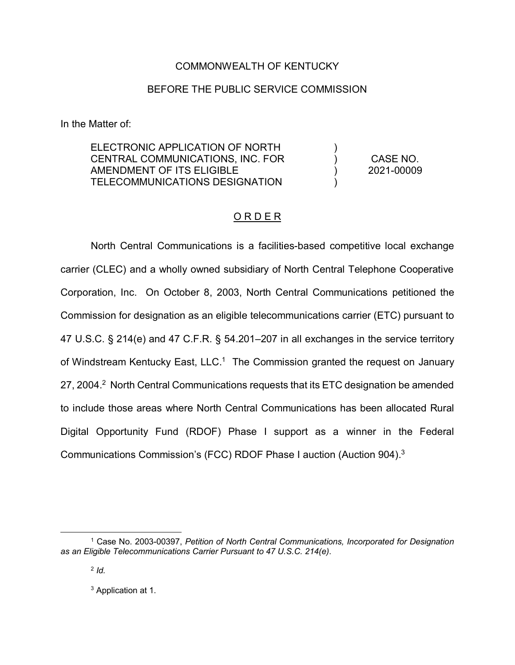## COMMONWEALTH OF KENTUCKY

## BEFORE THE PUBLIC SERVICE COMMISSION

In the Matter of:

ELECTRONIC APPLICATION OF NORTH CENTRAL COMMUNICATIONS, INC. FOR AMENDMENT OF ITS ELIGIBLE TELECOMMUNICATIONS DESIGNATION

CASE NO. 2021-00009

)  $\lambda$ ) )

## O R D E R

North Central Communications is a facilities-based competitive local exchange carrier (CLEC) and a wholly owned subsidiary of North Central Telephone Cooperative Corporation, Inc. On October 8, 2003, North Central Communications petitioned the Commission for designation as an eligible telecommunications carrier (ETC) pursuant to 47 U.S.C. § 214(e) and 47 C.F.R. § 54.201–207 in all exchanges in the service territory of Windstream Kentucky East, LLC.<sup>1</sup> The Commission granted the request on January 27, 2004.<sup>2</sup> North Central Communications requests that its ETC designation be amended to include those areas where North Central Communications has been allocated Rural Digital Opportunity Fund (RDOF) Phase I support as a winner in the Federal Communications Commission's (FCC) RDOF Phase I auction (Auction 904). 3

<sup>3</sup> Application at 1.

 <sup>1</sup> Case No. 2003-00397, *Petition of North Central Communications, Incorporated for Designation as an Eligible Telecommunications Carrier Pursuant to 47 U.S.C. 214(e)*.

<sup>2</sup> *Id.*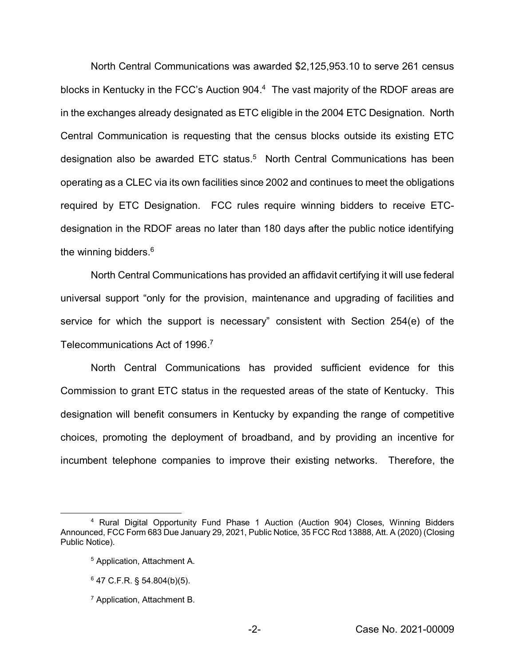North Central Communications was awarded \$2,125,953.10 to serve 261 census blocks in Kentucky in the FCC's Auction 904.<sup>4</sup> The vast majority of the RDOF areas are in the exchanges already designated as ETC eligible in the 2004 ETC Designation. North Central Communication is requesting that the census blocks outside its existing ETC designation also be awarded ETC status.<sup>5</sup> North Central Communications has been operating as a CLEC via its own facilities since 2002 and continues to meet the obligations required by ETC Designation. FCC rules require winning bidders to receive ETCdesignation in the RDOF areas no later than 180 days after the public notice identifying the winning bidders.<sup>6</sup>

North Central Communications has provided an affidavit certifying it will use federal universal support "only for the provision, maintenance and upgrading of facilities and service for which the support is necessary" consistent with Section 254(e) of the Telecommunications Act of 1996. 7

North Central Communications has provided sufficient evidence for this Commission to grant ETC status in the requested areas of the state of Kentucky. This designation will benefit consumers in Kentucky by expanding the range of competitive choices, promoting the deployment of broadband, and by providing an incentive for incumbent telephone companies to improve their existing networks. Therefore, the

 <sup>4</sup> Rural Digital Opportunity Fund Phase 1 Auction (Auction 904) Closes, Winning Bidders Announced, FCC Form 683 Due January 29, 2021, Public Notice, 35 FCC Rcd 13888, Att. A (2020) (Closing Public Notice).

<sup>5</sup> Application, Attachment A.

 $6$  47 C.F.R. § 54.804(b)(5).

<sup>7</sup> Application, Attachment B.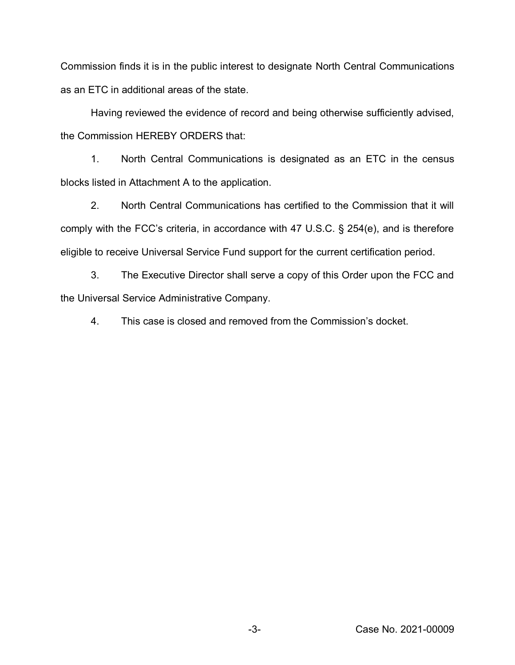Commission finds it is in the public interest to designate North Central Communications as an ETC in additional areas of the state.

Having reviewed the evidence of record and being otherwise sufficiently advised, the Commission HEREBY ORDERS that:

1. North Central Communications is designated as an ETC in the census blocks listed in Attachment A to the application.

2. North Central Communications has certified to the Commission that it will comply with the FCC's criteria, in accordance with 47 U.S.C. § 254(e), and is therefore eligible to receive Universal Service Fund support for the current certification period.

3. The Executive Director shall serve a copy of this Order upon the FCC and the Universal Service Administrative Company.

4. This case is closed and removed from the Commission's docket.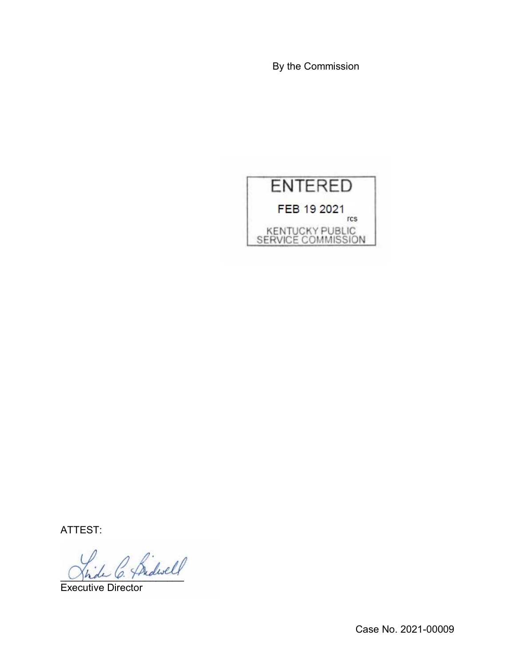By the Commission



ATTEST:

2 fridwell

Executive Director

Case No. 2021-00009